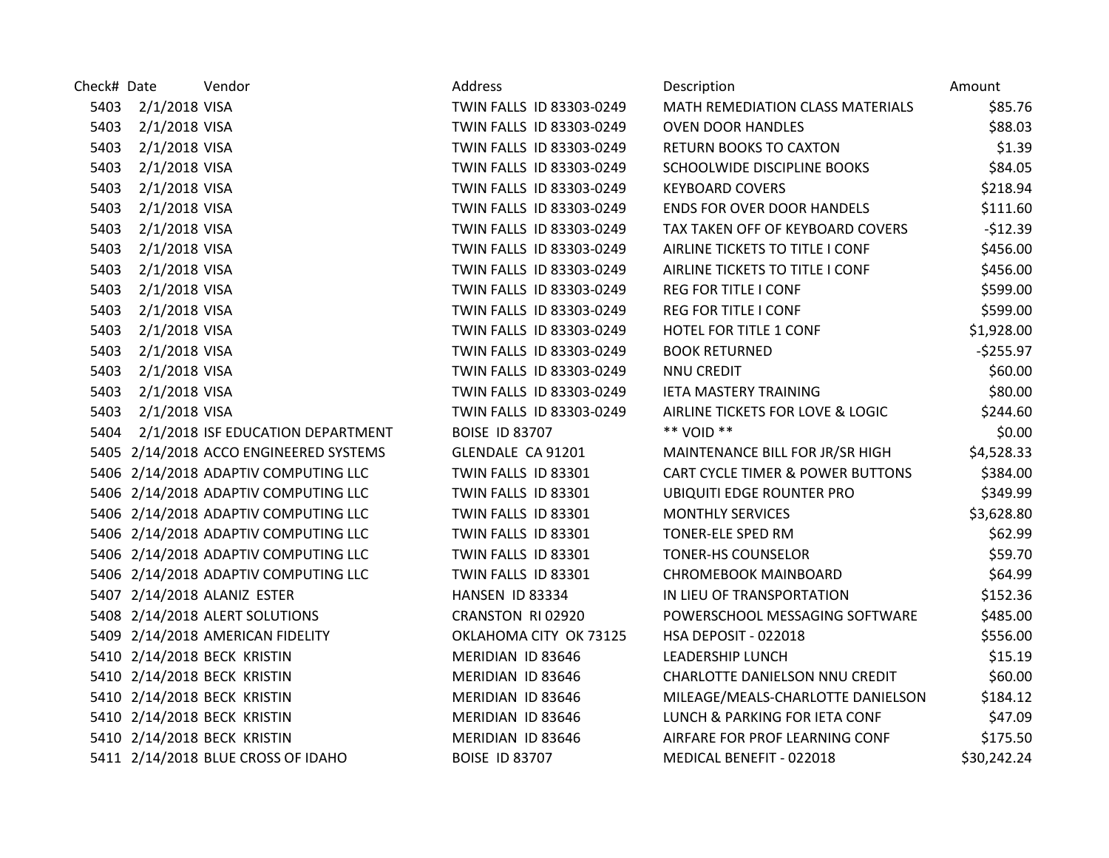| Check# Date |                    | Vendor                                 | Address                  | Description                                 | Amount       |
|-------------|--------------------|----------------------------------------|--------------------------|---------------------------------------------|--------------|
|             | 5403 2/1/2018 VISA |                                        | TWIN FALLS ID 83303-0249 | MATH REMEDIATION CLASS MATERIALS            | \$85.76      |
| 5403        | 2/1/2018 VISA      |                                        | TWIN FALLS ID 83303-0249 | <b>OVEN DOOR HANDLES</b>                    | \$88.03      |
| 5403        | 2/1/2018 VISA      |                                        | TWIN FALLS ID 83303-0249 | <b>RETURN BOOKS TO CAXTON</b>               | \$1.39       |
| 5403        | 2/1/2018 VISA      |                                        | TWIN FALLS ID 83303-0249 | SCHOOLWIDE DISCIPLINE BOOKS                 | \$84.05      |
|             | 5403 2/1/2018 VISA |                                        | TWIN FALLS ID 83303-0249 | <b>KEYBOARD COVERS</b>                      | \$218.94     |
| 5403        | 2/1/2018 VISA      |                                        | TWIN FALLS ID 83303-0249 | <b>ENDS FOR OVER DOOR HANDELS</b>           | \$111.60     |
| 5403        | 2/1/2018 VISA      |                                        | TWIN FALLS ID 83303-0249 | TAX TAKEN OFF OF KEYBOARD COVERS            | $-512.39$    |
| 5403        | 2/1/2018 VISA      |                                        | TWIN FALLS ID 83303-0249 | AIRLINE TICKETS TO TITLE I CONF             | \$456.00     |
| 5403        | 2/1/2018 VISA      |                                        | TWIN FALLS ID 83303-0249 | AIRLINE TICKETS TO TITLE I CONF             | \$456.00     |
| 5403        | 2/1/2018 VISA      |                                        | TWIN FALLS ID 83303-0249 | <b>REG FOR TITLE I CONF</b>                 | \$599.00     |
| 5403        | 2/1/2018 VISA      |                                        | TWIN FALLS ID 83303-0249 | <b>REG FOR TITLE I CONF</b>                 | \$599.00     |
| 5403        | 2/1/2018 VISA      |                                        | TWIN FALLS ID 83303-0249 | HOTEL FOR TITLE 1 CONF                      | \$1,928.00   |
| 5403        | 2/1/2018 VISA      |                                        | TWIN FALLS ID 83303-0249 | <b>BOOK RETURNED</b>                        | $-$ \$255.97 |
|             | 5403 2/1/2018 VISA |                                        | TWIN FALLS ID 83303-0249 | <b>NNU CREDIT</b>                           | \$60.00      |
|             | 5403 2/1/2018 VISA |                                        | TWIN FALLS ID 83303-0249 | <b>IETA MASTERY TRAINING</b>                | \$80.00      |
| 5403        | 2/1/2018 VISA      |                                        | TWIN FALLS ID 83303-0249 | AIRLINE TICKETS FOR LOVE & LOGIC            | \$244.60     |
| 5404        |                    | 2/1/2018 ISF EDUCATION DEPARTMENT      | <b>BOISE ID 83707</b>    | ** VOID **                                  | \$0.00       |
|             |                    | 5405 2/14/2018 ACCO ENGINEERED SYSTEMS | GLENDALE CA 91201        | MAINTENANCE BILL FOR JR/SR HIGH             | \$4,528.33   |
|             |                    | 5406 2/14/2018 ADAPTIV COMPUTING LLC   | TWIN FALLS ID 83301      | <b>CART CYCLE TIMER &amp; POWER BUTTONS</b> | \$384.00     |
|             |                    | 5406 2/14/2018 ADAPTIV COMPUTING LLC   | TWIN FALLS ID 83301      | <b>UBIQUITI EDGE ROUNTER PRO</b>            | \$349.99     |
|             |                    | 5406 2/14/2018 ADAPTIV COMPUTING LLC   | TWIN FALLS ID 83301      | <b>MONTHLY SERVICES</b>                     | \$3,628.80   |
|             |                    | 5406 2/14/2018 ADAPTIV COMPUTING LLC   | TWIN FALLS ID 83301      | TONER-ELE SPED RM                           | \$62.99      |
|             |                    | 5406 2/14/2018 ADAPTIV COMPUTING LLC   | TWIN FALLS ID 83301      | <b>TONER-HS COUNSELOR</b>                   | \$59.70      |
|             |                    | 5406 2/14/2018 ADAPTIV COMPUTING LLC   | TWIN FALLS ID 83301      | <b>CHROMEBOOK MAINBOARD</b>                 | \$64.99      |
|             |                    | 5407 2/14/2018 ALANIZ ESTER            | HANSEN ID 83334          | IN LIEU OF TRANSPORTATION                   | \$152.36     |
|             |                    | 5408 2/14/2018 ALERT SOLUTIONS         | CRANSTON RI 02920        | POWERSCHOOL MESSAGING SOFTWARE              | \$485.00     |
|             |                    | 5409 2/14/2018 AMERICAN FIDELITY       | OKLAHOMA CITY OK 73125   | HSA DEPOSIT - 022018                        | \$556.00     |
|             |                    | 5410 2/14/2018 BECK KRISTIN            | MERIDIAN ID 83646        | <b>LEADERSHIP LUNCH</b>                     | \$15.19      |
|             |                    | 5410 2/14/2018 BECK KRISTIN            | MERIDIAN ID 83646        | CHARLOTTE DANIELSON NNU CREDIT              | \$60.00      |
|             |                    | 5410 2/14/2018 BECK KRISTIN            | MERIDIAN ID 83646        | MILEAGE/MEALS-CHARLOTTE DANIELSON           | \$184.12     |
|             |                    | 5410 2/14/2018 BECK KRISTIN            | MERIDIAN ID 83646        | LUNCH & PARKING FOR IETA CONF               | \$47.09      |
|             |                    | 5410 2/14/2018 BECK KRISTIN            | MERIDIAN ID 83646        | AIRFARE FOR PROF LEARNING CONF              | \$175.50     |
|             |                    | 5411 2/14/2018 BLUE CROSS OF IDAHO     | <b>BOISE ID 83707</b>    | MEDICAL BENEFIT - 022018                    | \$30,242.24  |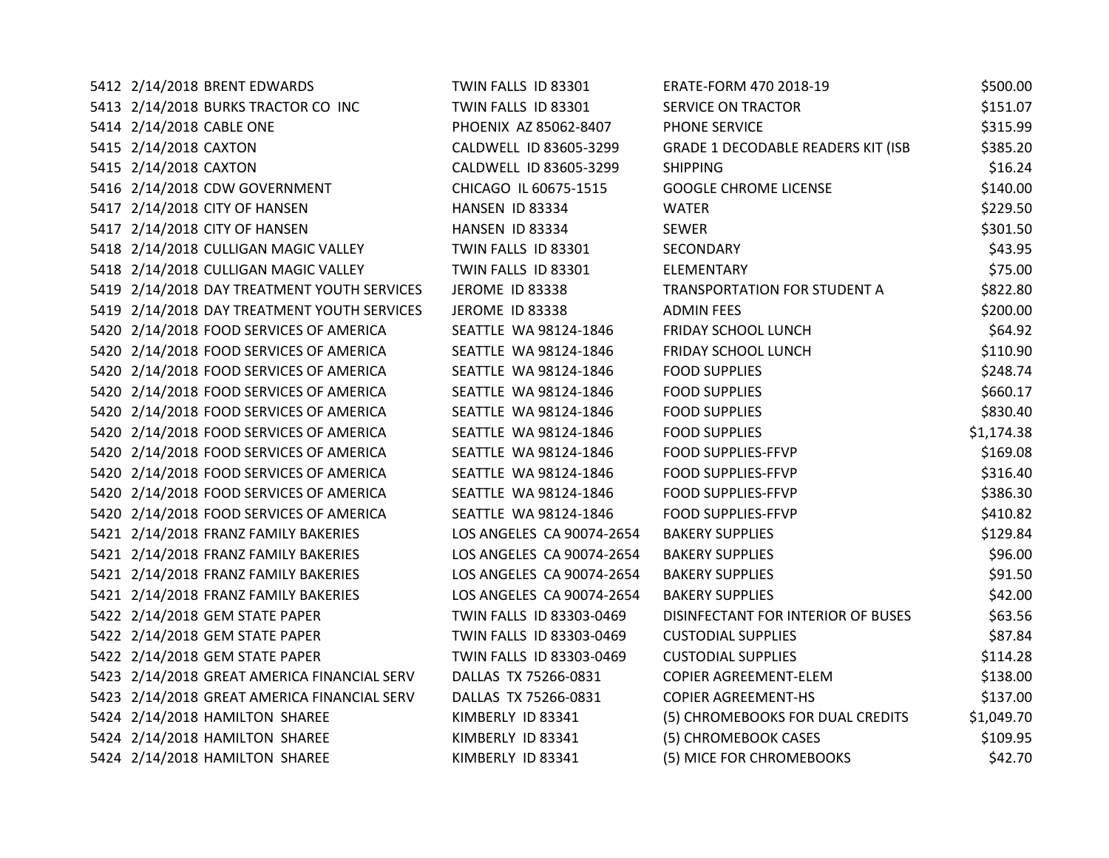| 5412 2/14/2018 BRENT EDWARDS                | TWIN FALLS ID 83301       | ERATE-FORM 470 2018-19                    | \$500.00   |
|---------------------------------------------|---------------------------|-------------------------------------------|------------|
| 5413 2/14/2018 BURKS TRACTOR CO INC         | TWIN FALLS ID 83301       | <b>SERVICE ON TRACTOR</b>                 | \$151.07   |
| 5414 2/14/2018 CABLE ONE                    | PHOENIX AZ 85062-8407     | PHONE SERVICE                             | \$315.99   |
| 5415 2/14/2018 CAXTON                       | CALDWELL ID 83605-3299    | <b>GRADE 1 DECODABLE READERS KIT (ISB</b> | \$385.20   |
| 5415 2/14/2018 CAXTON                       | CALDWELL ID 83605-3299    | <b>SHIPPING</b>                           | \$16.24    |
| 5416 2/14/2018 CDW GOVERNMENT               | CHICAGO IL 60675-1515     | <b>GOOGLE CHROME LICENSE</b>              | \$140.00   |
| 5417 2/14/2018 CITY OF HANSEN               | HANSEN ID 83334           | <b>WATER</b>                              | \$229.50   |
| 5417 2/14/2018 CITY OF HANSEN               | HANSEN ID 83334           | <b>SEWER</b>                              | \$301.50   |
| 5418 2/14/2018 CULLIGAN MAGIC VALLEY        | TWIN FALLS ID 83301       | SECONDARY                                 | \$43.95    |
| 5418 2/14/2018 CULLIGAN MAGIC VALLEY        | TWIN FALLS ID 83301       | <b>ELEMENTARY</b>                         | \$75.00    |
| 5419 2/14/2018 DAY TREATMENT YOUTH SERVICES | <b>JEROME ID 83338</b>    | TRANSPORTATION FOR STUDENT A              | \$822.80   |
| 5419 2/14/2018 DAY TREATMENT YOUTH SERVICES | <b>JEROME ID 83338</b>    | <b>ADMIN FEES</b>                         | \$200.00   |
| 5420 2/14/2018 FOOD SERVICES OF AMERICA     | SEATTLE WA 98124-1846     | FRIDAY SCHOOL LUNCH                       | \$64.92    |
| 5420 2/14/2018 FOOD SERVICES OF AMERICA     | SEATTLE WA 98124-1846     | FRIDAY SCHOOL LUNCH                       | \$110.90   |
| 5420 2/14/2018 FOOD SERVICES OF AMERICA     | SEATTLE WA 98124-1846     | <b>FOOD SUPPLIES</b>                      | \$248.74   |
| 5420 2/14/2018 FOOD SERVICES OF AMERICA     | SEATTLE WA 98124-1846     | <b>FOOD SUPPLIES</b>                      | \$660.17   |
| 5420 2/14/2018 FOOD SERVICES OF AMERICA     | SEATTLE WA 98124-1846     | <b>FOOD SUPPLIES</b>                      | \$830.40   |
| 5420 2/14/2018 FOOD SERVICES OF AMERICA     | SEATTLE WA 98124-1846     | <b>FOOD SUPPLIES</b>                      | \$1,174.38 |
| 5420 2/14/2018 FOOD SERVICES OF AMERICA     | SEATTLE WA 98124-1846     | <b>FOOD SUPPLIES-FFVP</b>                 | \$169.08   |
| 5420 2/14/2018 FOOD SERVICES OF AMERICA     | SEATTLE WA 98124-1846     | <b>FOOD SUPPLIES-FFVP</b>                 | \$316.40   |
| 5420 2/14/2018 FOOD SERVICES OF AMERICA     | SEATTLE WA 98124-1846     | <b>FOOD SUPPLIES-FFVP</b>                 | \$386.30   |
| 5420 2/14/2018 FOOD SERVICES OF AMERICA     | SEATTLE WA 98124-1846     | <b>FOOD SUPPLIES-FFVP</b>                 | \$410.82   |
| 5421 2/14/2018 FRANZ FAMILY BAKERIES        | LOS ANGELES CA 90074-2654 | <b>BAKERY SUPPLIES</b>                    | \$129.84   |
| 5421 2/14/2018 FRANZ FAMILY BAKERIES        | LOS ANGELES CA 90074-2654 | <b>BAKERY SUPPLIES</b>                    | \$96.00    |
| 5421 2/14/2018 FRANZ FAMILY BAKERIES        | LOS ANGELES CA 90074-2654 | <b>BAKERY SUPPLIES</b>                    | \$91.50    |
| 5421 2/14/2018 FRANZ FAMILY BAKERIES        | LOS ANGELES CA 90074-2654 | <b>BAKERY SUPPLIES</b>                    | \$42.00    |
| 5422 2/14/2018 GEM STATE PAPER              | TWIN FALLS ID 83303-0469  | DISINFECTANT FOR INTERIOR OF BUSES        | \$63.56    |
| 5422 2/14/2018 GEM STATE PAPER              | TWIN FALLS ID 83303-0469  | <b>CUSTODIAL SUPPLIES</b>                 | \$87.84    |
| 5422 2/14/2018 GEM STATE PAPER              | TWIN FALLS ID 83303-0469  | <b>CUSTODIAL SUPPLIES</b>                 | \$114.28   |
| 5423 2/14/2018 GREAT AMERICA FINANCIAL SERV | DALLAS TX 75266-0831      | <b>COPIER AGREEMENT-ELEM</b>              | \$138.00   |
| 5423 2/14/2018 GREAT AMERICA FINANCIAL SERV | DALLAS TX 75266-0831      | <b>COPIER AGREEMENT-HS</b>                | \$137.00   |
| 5424 2/14/2018 HAMILTON SHAREE              | KIMBERLY ID 83341         | (5) CHROMEBOOKS FOR DUAL CREDITS          | \$1,049.70 |
| 5424 2/14/2018 HAMILTON SHAREE              | KIMBERLY ID 83341         | (5) CHROMEBOOK CASES                      | \$109.95   |
| 5424 2/14/2018 HAMILTON SHAREE              | KIMBERLY ID 83341         | (5) MICE FOR CHROMEBOOKS                  | \$42.70    |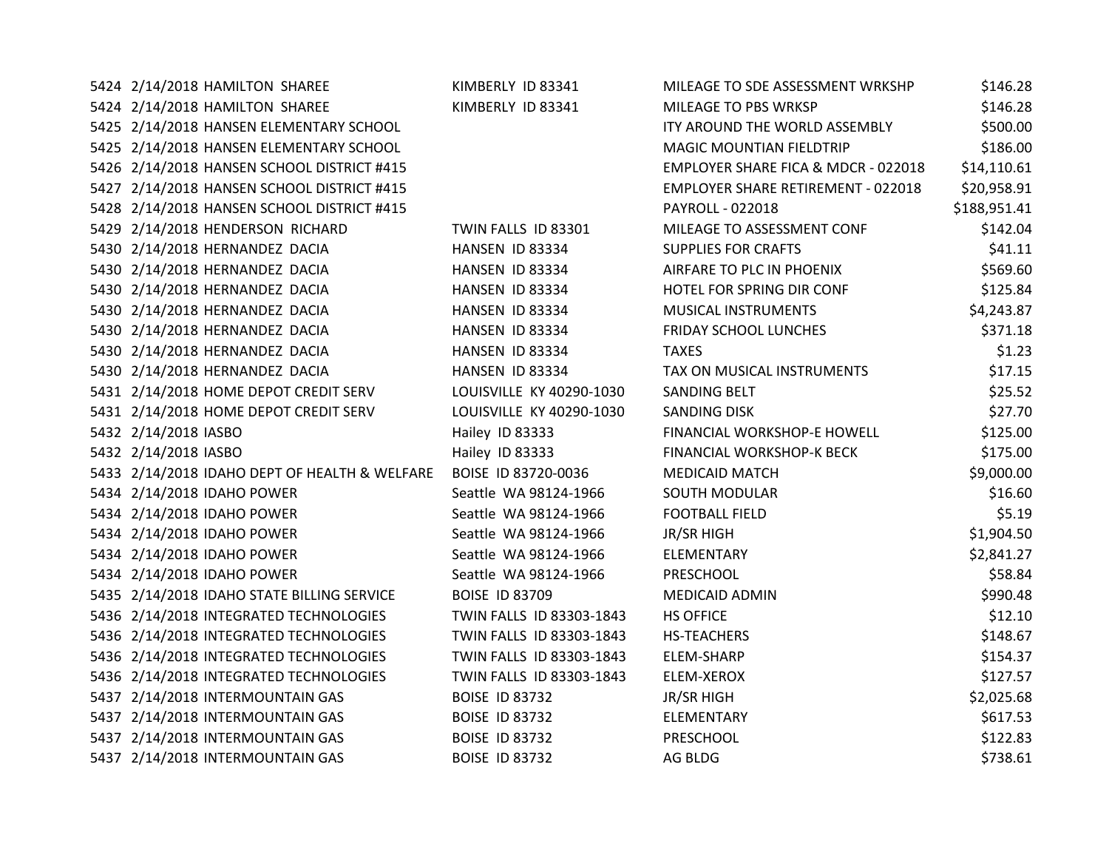| 5424 2/14/2018 HAMILTON SHAREE                | KIMBERLY ID 83341        | MILEAGE TO SDE ASSESSMENT WRKSHP          | \$146.28     |
|-----------------------------------------------|--------------------------|-------------------------------------------|--------------|
| 5424 2/14/2018 HAMILTON SHAREE                | KIMBERLY ID 83341        | MILEAGE TO PBS WRKSP                      | \$146.28     |
| 5425 2/14/2018 HANSEN ELEMENTARY SCHOOL       |                          | ITY AROUND THE WORLD ASSEMBLY             | \$500.00     |
| 5425 2/14/2018 HANSEN ELEMENTARY SCHOOL       |                          | <b>MAGIC MOUNTIAN FIELDTRIP</b>           | \$186.00     |
| 5426 2/14/2018 HANSEN SCHOOL DISTRICT #415    |                          | EMPLOYER SHARE FICA & MDCR - 022018       | \$14,110.61  |
| 5427 2/14/2018 HANSEN SCHOOL DISTRICT #415    |                          | <b>EMPLOYER SHARE RETIREMENT - 022018</b> | \$20,958.91  |
| 5428 2/14/2018 HANSEN SCHOOL DISTRICT #415    |                          | PAYROLL - 022018                          | \$188,951.41 |
| 5429 2/14/2018 HENDERSON RICHARD              | TWIN FALLS ID 83301      | MILEAGE TO ASSESSMENT CONF                | \$142.04     |
| 5430 2/14/2018 HERNANDEZ DACIA                | HANSEN ID 83334          | <b>SUPPLIES FOR CRAFTS</b>                | \$41.11      |
| 5430 2/14/2018 HERNANDEZ DACIA                | HANSEN ID 83334          | AIRFARE TO PLC IN PHOENIX                 | \$569.60     |
| 5430 2/14/2018 HERNANDEZ DACIA                | HANSEN ID 83334          | HOTEL FOR SPRING DIR CONF                 | \$125.84     |
| 5430 2/14/2018 HERNANDEZ DACIA                | HANSEN ID 83334          | MUSICAL INSTRUMENTS                       | \$4,243.87   |
| 5430 2/14/2018 HERNANDEZ DACIA                | HANSEN ID 83334          | <b>FRIDAY SCHOOL LUNCHES</b>              | \$371.18     |
| 5430 2/14/2018 HERNANDEZ DACIA                | HANSEN ID 83334          | <b>TAXES</b>                              | \$1.23       |
| 5430 2/14/2018 HERNANDEZ DACIA                | HANSEN ID 83334          | TAX ON MUSICAL INSTRUMENTS                | \$17.15      |
| 5431 2/14/2018 HOME DEPOT CREDIT SERV         | LOUISVILLE KY 40290-1030 | SANDING BELT                              | \$25.52      |
| 5431 2/14/2018 HOME DEPOT CREDIT SERV         | LOUISVILLE KY 40290-1030 | SANDING DISK                              | \$27.70      |
| 5432 2/14/2018 IASBO                          | Hailey ID 83333          | FINANCIAL WORKSHOP-E HOWELL               | \$125.00     |
| 5432 2/14/2018 IASBO                          | Hailey ID 83333          | FINANCIAL WORKSHOP-K BECK                 | \$175.00     |
| 5433 2/14/2018 IDAHO DEPT OF HEALTH & WELFARE | BOISE ID 83720-0036      | <b>MEDICAID MATCH</b>                     | \$9,000.00   |
| 5434 2/14/2018 IDAHO POWER                    | Seattle WA 98124-1966    | <b>SOUTH MODULAR</b>                      | \$16.60      |
| 5434 2/14/2018 IDAHO POWER                    | Seattle WA 98124-1966    | <b>FOOTBALL FIELD</b>                     | \$5.19       |
| 5434 2/14/2018 IDAHO POWER                    | Seattle WA 98124-1966    | <b>JR/SR HIGH</b>                         | \$1,904.50   |
| 5434 2/14/2018 IDAHO POWER                    | Seattle WA 98124-1966    | ELEMENTARY                                | \$2,841.27   |
| 5434 2/14/2018 IDAHO POWER                    | Seattle WA 98124-1966    | PRESCHOOL                                 | \$58.84      |
| 5435 2/14/2018 IDAHO STATE BILLING SERVICE    | <b>BOISE ID 83709</b>    | <b>MEDICAID ADMIN</b>                     | \$990.48     |
| 5436 2/14/2018 INTEGRATED TECHNOLOGIES        | TWIN FALLS ID 83303-1843 | <b>HS OFFICE</b>                          | \$12.10      |
| 5436 2/14/2018 INTEGRATED TECHNOLOGIES        | TWIN FALLS ID 83303-1843 | <b>HS-TEACHERS</b>                        | \$148.67     |
| 5436 2/14/2018 INTEGRATED TECHNOLOGIES        | TWIN FALLS ID 83303-1843 | ELEM-SHARP                                | \$154.37     |
| 5436 2/14/2018 INTEGRATED TECHNOLOGIES        | TWIN FALLS ID 83303-1843 | ELEM-XEROX                                | \$127.57     |
| 5437 2/14/2018 INTERMOUNTAIN GAS              | <b>BOISE ID 83732</b>    | <b>JR/SR HIGH</b>                         | \$2,025.68   |
| 5437 2/14/2018 INTERMOUNTAIN GAS              | <b>BOISE ID 83732</b>    | ELEMENTARY                                | \$617.53     |
| 5437 2/14/2018 INTERMOUNTAIN GAS              | <b>BOISE ID 83732</b>    | PRESCHOOL                                 | \$122.83     |
| 5437 2/14/2018 INTERMOUNTAIN GAS              | <b>BOISE ID 83732</b>    | AG BLDG                                   | \$738.61     |
|                                               |                          |                                           |              |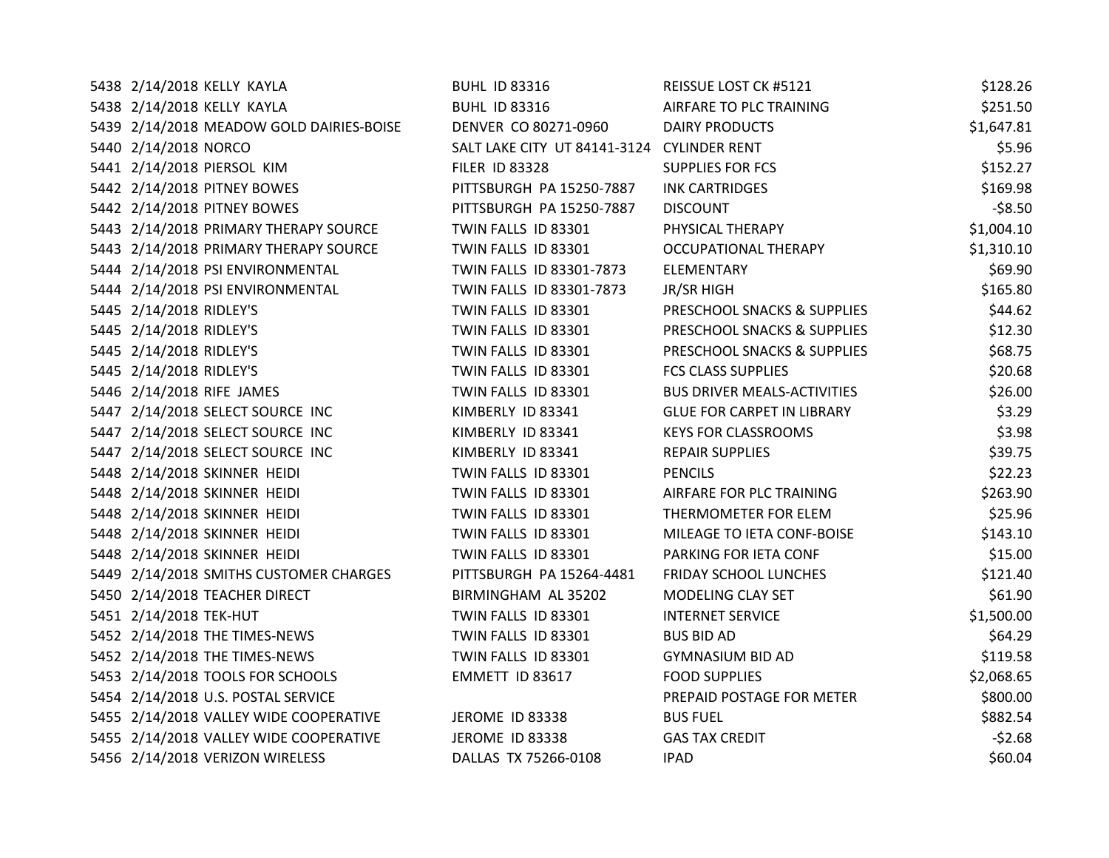| 5438 2/14/2018 KELLY KAYLA               | <b>BUHL ID 83316</b>                       | REISSUE LOST CK #5121              | \$128.26   |
|------------------------------------------|--------------------------------------------|------------------------------------|------------|
| 5438 2/14/2018 KELLY KAYLA               | <b>BUHL ID 83316</b>                       | AIRFARE TO PLC TRAINING            | \$251.50   |
| 5439 2/14/2018 MEADOW GOLD DAIRIES-BOISE | DENVER CO 80271-0960                       | DAIRY PRODUCTS                     | \$1,647.81 |
| 5440 2/14/2018 NORCO                     | SALT LAKE CITY UT 84141-3124 CYLINDER RENT |                                    | \$5.96     |
| 5441 2/14/2018 PIERSOL KIM               | <b>FILER ID 83328</b>                      | <b>SUPPLIES FOR FCS</b>            | \$152.27   |
| 5442 2/14/2018 PITNEY BOWES              | PITTSBURGH PA 15250-7887                   | <b>INK CARTRIDGES</b>              | \$169.98   |
| 5442 2/14/2018 PITNEY BOWES              | PITTSBURGH PA 15250-7887                   | <b>DISCOUNT</b>                    | $-58.50$   |
| 5443 2/14/2018 PRIMARY THERAPY SOURCE    | TWIN FALLS ID 83301                        | PHYSICAL THERAPY                   | \$1,004.10 |
| 5443 2/14/2018 PRIMARY THERAPY SOURCE    | TWIN FALLS ID 83301                        | <b>OCCUPATIONAL THERAPY</b>        | \$1,310.10 |
| 5444 2/14/2018 PSI ENVIRONMENTAL         | TWIN FALLS ID 83301-7873                   | ELEMENTARY                         | \$69.90    |
| 5444 2/14/2018 PSI ENVIRONMENTAL         | TWIN FALLS ID 83301-7873                   | <b>JR/SR HIGH</b>                  | \$165.80   |
| 5445 2/14/2018 RIDLEY'S                  | TWIN FALLS ID 83301                        | PRESCHOOL SNACKS & SUPPLIES        | \$44.62    |
| 5445 2/14/2018 RIDLEY'S                  | TWIN FALLS ID 83301                        | PRESCHOOL SNACKS & SUPPLIES        | \$12.30    |
| 5445 2/14/2018 RIDLEY'S                  | TWIN FALLS ID 83301                        | PRESCHOOL SNACKS & SUPPLIES        | \$68.75    |
| 5445 2/14/2018 RIDLEY'S                  | TWIN FALLS ID 83301                        | <b>FCS CLASS SUPPLIES</b>          | \$20.68    |
| 5446 2/14/2018 RIFE JAMES                | TWIN FALLS ID 83301                        | <b>BUS DRIVER MEALS-ACTIVITIES</b> | \$26.00    |
| 5447 2/14/2018 SELECT SOURCE INC         | KIMBERLY ID 83341                          | <b>GLUE FOR CARPET IN LIBRARY</b>  | \$3.29     |
| 5447 2/14/2018 SELECT SOURCE INC         | KIMBERLY ID 83341                          | <b>KEYS FOR CLASSROOMS</b>         | \$3.98     |
| 5447 2/14/2018 SELECT SOURCE INC         | KIMBERLY ID 83341                          | <b>REPAIR SUPPLIES</b>             | \$39.75    |
| 5448 2/14/2018 SKINNER HEIDI             | TWIN FALLS ID 83301                        | <b>PENCILS</b>                     | \$22.23    |
| 5448 2/14/2018 SKINNER HEIDI             | TWIN FALLS ID 83301                        | AIRFARE FOR PLC TRAINING           | \$263.90   |
| 5448 2/14/2018 SKINNER HEIDI             | TWIN FALLS ID 83301                        | THERMOMETER FOR ELEM               | \$25.96    |
| 5448 2/14/2018 SKINNER HEIDI             | TWIN FALLS ID 83301                        | MILEAGE TO IETA CONF-BOISE         | \$143.10   |
| 5448 2/14/2018 SKINNER HEIDI             | TWIN FALLS ID 83301                        | PARKING FOR IETA CONF              | \$15.00    |
| 5449 2/14/2018 SMITHS CUSTOMER CHARGES   | PITTSBURGH PA 15264-4481                   | FRIDAY SCHOOL LUNCHES              | \$121.40   |
| 5450 2/14/2018 TEACHER DIRECT            | BIRMINGHAM AL 35202                        | MODELING CLAY SET                  | \$61.90    |
| 5451 2/14/2018 TEK-HUT                   | TWIN FALLS ID 83301                        | <b>INTERNET SERVICE</b>            | \$1,500.00 |
| 5452 2/14/2018 THE TIMES-NEWS            | TWIN FALLS ID 83301                        | <b>BUS BID AD</b>                  | \$64.29    |
| 5452 2/14/2018 THE TIMES-NEWS            | TWIN FALLS ID 83301                        | <b>GYMNASIUM BID AD</b>            | \$119.58   |
| 5453 2/14/2018 TOOLS FOR SCHOOLS         | EMMETT ID 83617                            | <b>FOOD SUPPLIES</b>               | \$2,068.65 |
| 5454 2/14/2018 U.S. POSTAL SERVICE       |                                            | PREPAID POSTAGE FOR METER          | \$800.00   |
| 5455 2/14/2018 VALLEY WIDE COOPERATIVE   | <b>JEROME ID 83338</b>                     | <b>BUS FUEL</b>                    | \$882.54   |
| 5455 2/14/2018 VALLEY WIDE COOPERATIVE   | JEROME ID 83338                            | <b>GAS TAX CREDIT</b>              | $-52.68$   |
| 5456 2/14/2018 VERIZON WIRELESS          | DALLAS TX 75266-0108                       | <b>IPAD</b>                        | \$60.04    |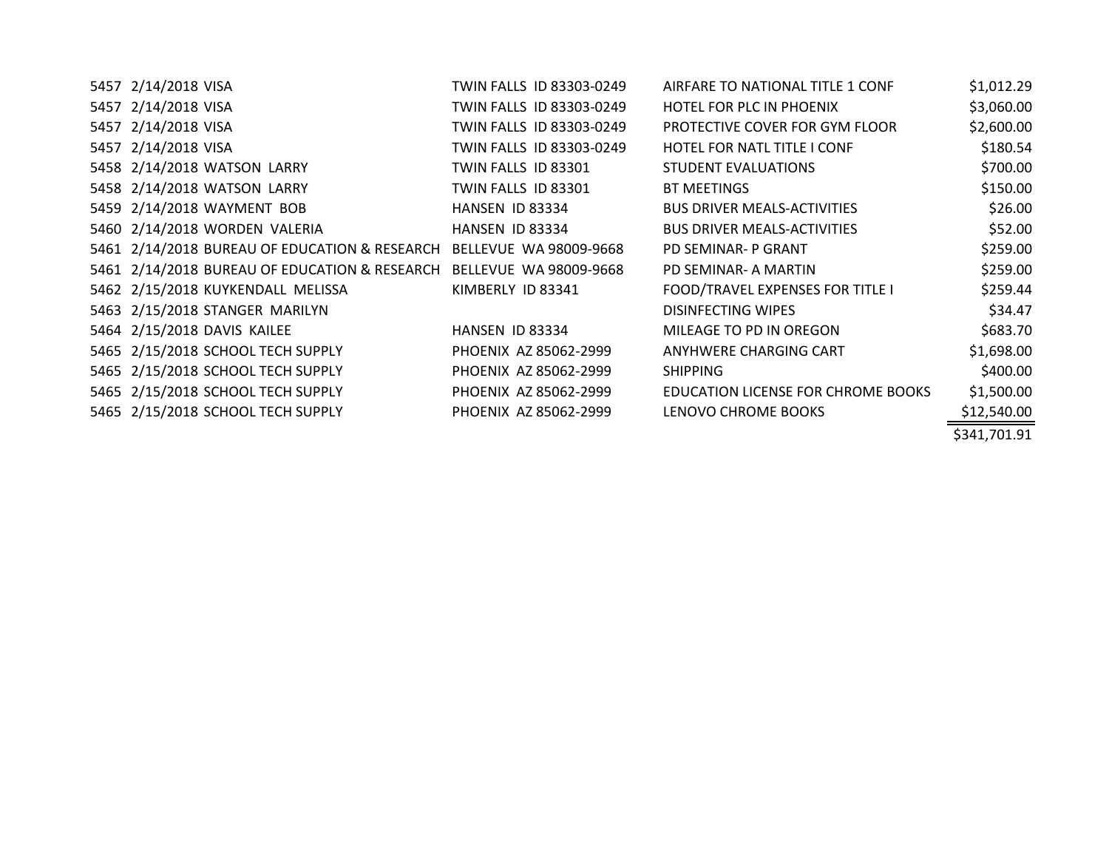| 5457 2/14/2018 VISA                           | TWIN FALLS ID 83303-0249 | AIRFARE TO NATIONAL TITLE 1 CONF        | \$1,012.29   |
|-----------------------------------------------|--------------------------|-----------------------------------------|--------------|
| 5457 2/14/2018 VISA                           | TWIN FALLS ID 83303-0249 | HOTEL FOR PLC IN PHOENIX                | \$3,060.00   |
| 5457 2/14/2018 VISA                           | TWIN FALLS ID 83303-0249 | PROTECTIVE COVER FOR GYM FLOOR          | \$2,600.00   |
| 5457 2/14/2018 VISA                           | TWIN FALLS ID 83303-0249 | <b>HOTEL FOR NATL TITLE I CONF</b>      | \$180.54     |
| 5458 2/14/2018 WATSON LARRY                   | TWIN FALLS ID 83301      | <b>STUDENT EVALUATIONS</b>              | \$700.00     |
| 5458 2/14/2018 WATSON LARRY                   | TWIN FALLS ID 83301      | BT MEETINGS                             | \$150.00     |
| 5459 2/14/2018 WAYMENT BOB                    | HANSEN ID 83334          | <b>BUS DRIVER MEALS-ACTIVITIES</b>      | \$26.00      |
| 5460 2/14/2018 WORDEN VALERIA                 | HANSEN ID 83334          | <b>BUS DRIVER MEALS-ACTIVITIES</b>      | \$52.00      |
| 5461 2/14/2018 BUREAU OF EDUCATION & RESEARCH | BELLEVUE WA 98009-9668   | PD SEMINAR- P GRANT                     | \$259.00     |
| 5461 2/14/2018 BUREAU OF EDUCATION & RESEARCH | BELLEVUE WA 98009-9668   | PD SEMINAR- A MARTIN                    | \$259.00     |
| 5462 2/15/2018 KUYKENDALL MELISSA             | KIMBERLY ID 83341        | <b>FOOD/TRAVEL EXPENSES FOR TITLE I</b> | \$259.44     |
| 5463 2/15/2018 STANGER MARILYN                |                          | <b>DISINFECTING WIPES</b>               | \$34.47      |
| 5464 2/15/2018 DAVIS KAILEE                   | HANSEN ID 83334          | MILEAGE TO PD IN OREGON                 | \$683.70     |
| 5465 2/15/2018 SCHOOL TECH SUPPLY             | PHOENIX AZ 85062-2999    | ANYHWERE CHARGING CART                  | \$1,698.00   |
| 5465 2/15/2018 SCHOOL TECH SUPPLY             | PHOENIX AZ 85062-2999    | <b>SHIPPING</b>                         | \$400.00     |
| 5465 2/15/2018 SCHOOL TECH SUPPLY             | PHOENIX AZ 85062-2999    | EDUCATION LICENSE FOR CHROME BOOKS      | \$1,500.00   |
| 5465 2/15/2018 SCHOOL TECH SUPPLY             | PHOENIX AZ 85062-2999    | LENOVO CHROME BOOKS                     | \$12,540.00  |
|                                               |                          |                                         | \$341,701.91 |